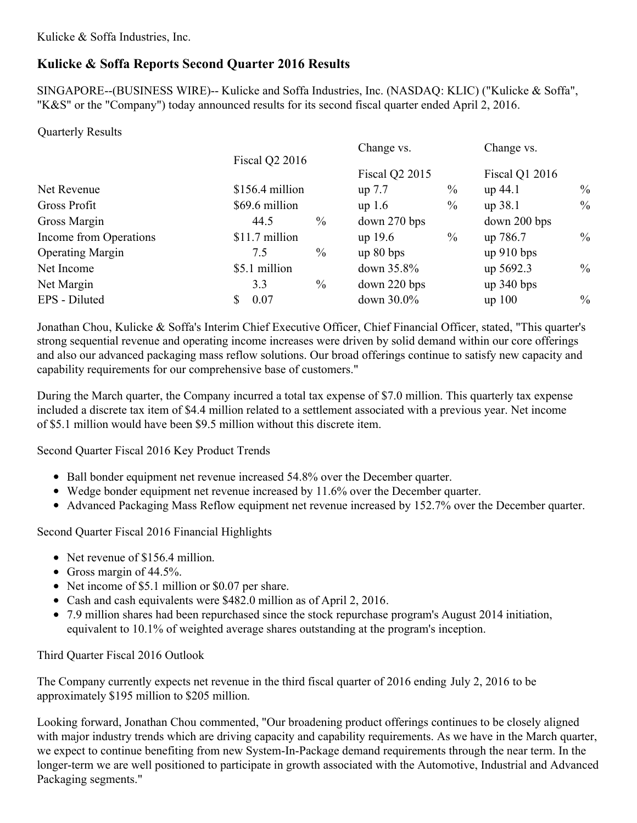Kulicke & Soffa Industries, Inc.

# **Kulicke & Soffa Reports Second Quarter 2016 Results**

SINGAPORE--(BUSINESS WIRE)-- Kulicke and Soffa Industries, Inc. (NASDAQ: KLIC) ("Kulicke & Soffa", "K&S" or the "Company") today announced results for its second fiscal quarter ended April 2, 2016.

Quarterly Results

| <b>Fiscal Q2 2016</b><br><b>Fiscal Q2 2015</b><br><b>Fiscal Q1 2016</b><br>$\%$<br>$\frac{0}{0}$<br>$$156.4$ million<br>up 44.1<br>up 7.7<br>$\frac{0}{0}$<br>$\frac{0}{0}$<br>\$69.6 million<br>up 38.1<br>up 1.6<br>$\frac{0}{0}$<br>$down$ 270 bps<br>down 200 bps<br>44.5<br>$\frac{0}{0}$<br>$\%$<br>\$11.7 million<br>$up$ 19.6<br>up 786.7<br>$\%$<br>up 80 bps<br>$up\ 910 bps$<br>7.5<br>$\%$<br>\$5.1 million<br>down 35.8%<br>up 5692.3<br>$\frac{0}{0}$<br>down 220 bps<br>$up$ 340 bps<br>3.3<br>$\frac{0}{0}$<br>down 30.0%<br>0.07<br>$up$ 100<br>S |                         |  |  | Change vs. |  | Change vs. |  |
|--------------------------------------------------------------------------------------------------------------------------------------------------------------------------------------------------------------------------------------------------------------------------------------------------------------------------------------------------------------------------------------------------------------------------------------------------------------------------------------------------------------------------------------------------------------------|-------------------------|--|--|------------|--|------------|--|
|                                                                                                                                                                                                                                                                                                                                                                                                                                                                                                                                                                    |                         |  |  |            |  |            |  |
|                                                                                                                                                                                                                                                                                                                                                                                                                                                                                                                                                                    | Net Revenue             |  |  |            |  |            |  |
|                                                                                                                                                                                                                                                                                                                                                                                                                                                                                                                                                                    | Gross Profit            |  |  |            |  |            |  |
|                                                                                                                                                                                                                                                                                                                                                                                                                                                                                                                                                                    | Gross Margin            |  |  |            |  |            |  |
|                                                                                                                                                                                                                                                                                                                                                                                                                                                                                                                                                                    | Income from Operations  |  |  |            |  |            |  |
|                                                                                                                                                                                                                                                                                                                                                                                                                                                                                                                                                                    | <b>Operating Margin</b> |  |  |            |  |            |  |
|                                                                                                                                                                                                                                                                                                                                                                                                                                                                                                                                                                    | Net Income              |  |  |            |  |            |  |
|                                                                                                                                                                                                                                                                                                                                                                                                                                                                                                                                                                    | Net Margin              |  |  |            |  |            |  |
|                                                                                                                                                                                                                                                                                                                                                                                                                                                                                                                                                                    | EPS - Diluted           |  |  |            |  |            |  |

Jonathan Chou, Kulicke & Soffa's Interim Chief Executive Officer, Chief Financial Officer, stated, "This quarter's strong sequential revenue and operating income increases were driven by solid demand within our core offerings and also our advanced packaging mass reflow solutions. Our broad offerings continue to satisfy new capacity and capability requirements for our comprehensive base of customers."

During the March quarter, the Company incurred a total tax expense of \$7.0 million. This quarterly tax expense included a discrete tax item of \$4.4 million related to a settlement associated with a previous year. Net income of \$5.1 million would have been \$9.5 million without this discrete item.

Second Quarter Fiscal 2016 Key Product Trends

- Ball bonder equipment net revenue increased 54.8% over the December quarter.
- Wedge bonder equipment net revenue increased by 11.6% over the December quarter.
- Advanced Packaging Mass Reflow equipment net revenue increased by 152.7% over the December quarter.

Second Quarter Fiscal 2016 Financial Highlights

- Net revenue of \$156.4 million.
- Gross margin of  $44.5\%$ .
- Net income of \$5.1 million or \$0.07 per share.
- Cash and cash equivalents were \$482.0 million as of April 2, 2016.
- 7.9 million shares had been repurchased since the stock repurchase program's August 2014 initiation, equivalent to 10.1% of weighted average shares outstanding at the program's inception.

Third Quarter Fiscal 2016 Outlook

The Company currently expects net revenue in the third fiscal quarter of 2016 ending July 2, 2016 to be approximately \$195 million to \$205 million.

Looking forward, Jonathan Chou commented, "Our broadening product offerings continues to be closely aligned with major industry trends which are driving capacity and capability requirements. As we have in the March quarter, we expect to continue benefiting from new System-In-Package demand requirements through the near term. In the longer-term we are well positioned to participate in growth associated with the Automotive, Industrial and Advanced Packaging segments."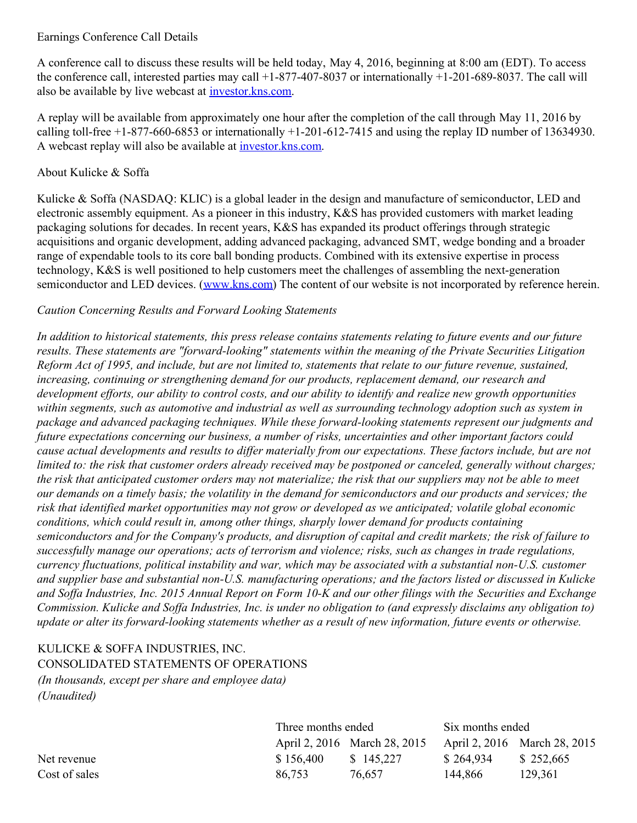#### Earnings Conference Call Details

A conference call to discuss these results will be held today, May 4, 2016, beginning at 8:00 am (EDT). To access the conference call, interested parties may call +1-877-407-8037 or internationally +1-201-689-8037. The call will also be available by live webcast at [investor.kns.com](http://investor.kns.com/).

A replay will be available from approximately one hour after the completion of the call through May 11, 2016 by calling toll-free  $+1-877-660-6853$  or internationally  $+1-201-612-7415$  and using the replay ID number of 13634930. A webcast replay will also be available at [investor.kns.com](http://investor.kns.com/).

## About Kulicke & Soffa

Kulicke & Soffa (NASDAQ: KLIC) is a global leader in the design and manufacture of semiconductor, LED and electronic assembly equipment. As a pioneer in this industry, K&S has provided customers with market leading packaging solutions for decades. In recent years, K&S has expanded its product offerings through strategic acquisitions and organic development, adding advanced packaging, advanced SMT, wedge bonding and a broader range of expendable tools to its core ball bonding products. Combined with its extensive expertise in process technology, K&S is well positioned to help customers meet the challenges of assembling the next-generation semiconductor and LED devices. [\(www.kns.com](http://cts.businesswire.com/ct/CT?id=smartlink&url=http%3A%2F%2Fwww.kns.com&esheet=51334625&newsitemid=20160504005558&lan=en-US&anchor=www.kns.com&index=1&md5=8b7e840efae209e4bc1bcec326dcbedf)) The content of our website is not incorporated by reference herein.

### *Caution Concerning Results and Forward Looking Statements*

In addition to historical statements, this press release contains statements relating to future events and our future *results. These statements are "forward-looking" statements within the meaning of the Private Securities Litigation* Reform Act of 1995, and include, but are not limited to, statements that relate to our future revenue, sustained, *increasing, continuing or strengthening demand for our products, replacement demand, our research and* development efforts, our ability to control costs, and our ability to identify and realize new growth opportunities within segments, such as automotive and industrial as well as surrounding technology adoption such as system in *package and advanced packaging techniques. While these forward-looking statements represent our judgments and future expectations concerning our business, a number of risks, uncertainties and other important factors could* cause actual developments and results to differ materially from our expectations. These factors include, but are not limited to: the risk that customer orders already received may be postponed or canceled, generally without charges; the risk that anticipated customer orders may not materialize; the risk that our suppliers may not be able to meet our demands on a timely basis; the volatility in the demand for semiconductors and our products and services; the *risk that identified market opportunities may not grow or developed as we anticipated; volatile global economic conditions, which could result in, among other things, sharply lower demand for products containing* semiconductors and for the Company's products, and disruption of capital and credit markets; the risk of failure to *successfully manage our operations; acts of terrorism and violence; risks, such as changes in trade regulations, currency fluctuations, political instability and war, which may be associated with a substantial non-U.S. customer* and supplier base and substantial non-U.S. manufacturing operations; and the factors listed or discussed in Kulicke and Soffa Industries, Inc. 2015 Annual Report on Form 10-K and our other filings with the Securities and Exchange Commission. Kulicke and Soffa Industries, Inc. is under no obligation to (and expressly disclaims any obligation to) update or alter its forward-looking statements whether as a result of new information, future events or otherwise.

# KULICKE & SOFFA INDUSTRIES, INC. CONSOLIDATED STATEMENTS OF OPERATIONS

*(In thousands, except per share and employee data) (Unaudited)*

|               |           | Three months ended           |           | Six months ended             |  |  |
|---------------|-----------|------------------------------|-----------|------------------------------|--|--|
|               |           | April 2, 2016 March 28, 2015 |           | April 2, 2016 March 28, 2015 |  |  |
| Net revenue   | \$156,400 | \$145,227                    | \$264,934 | \$252,665                    |  |  |
| Cost of sales | 86.753    | 76.657                       | 144.866   | 129,361                      |  |  |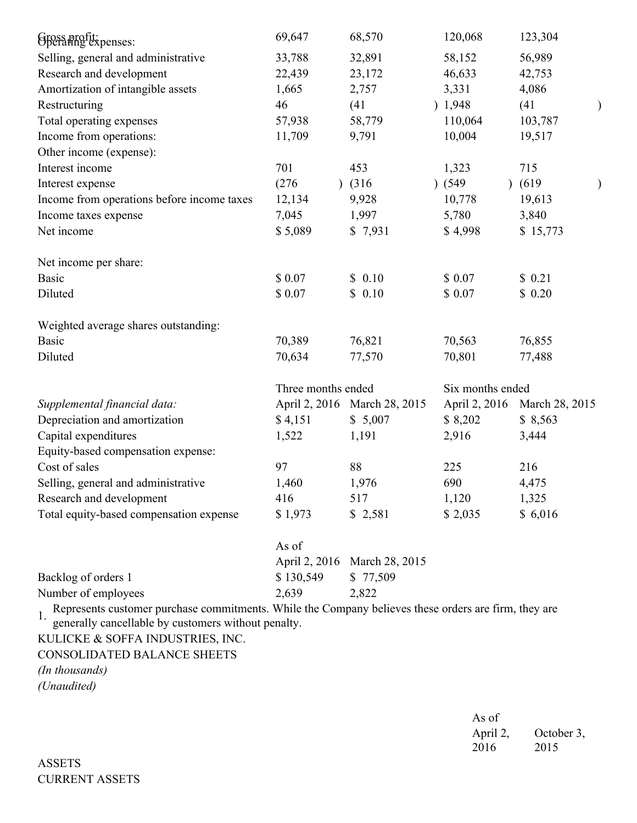| Gross profit:<br>Gperating expenses:                                                                       | 69,647             | 68,570                       | 120,068       | 123,304          |               |  |
|------------------------------------------------------------------------------------------------------------|--------------------|------------------------------|---------------|------------------|---------------|--|
| Selling, general and administrative                                                                        | 33,788             | 32,891                       | 58,152        | 56,989           |               |  |
| Research and development                                                                                   | 22,439             | 23,172                       | 46,633        | 42,753           |               |  |
| Amortization of intangible assets                                                                          | 1,665              | 2,757                        | 3,331         | 4,086            |               |  |
| Restructuring                                                                                              | 46                 | (41)                         | ) 1,948       | (41)             | $\mathcal{Y}$ |  |
| Total operating expenses                                                                                   | 57,938             | 58,779                       | 110,064       | 103,787          |               |  |
| Income from operations:                                                                                    | 11,709             | 9,791                        | 10,004        | 19,517           |               |  |
| Other income (expense):                                                                                    |                    |                              |               |                  |               |  |
| Interest income                                                                                            | 701                | 453                          | 1,323         | 715              |               |  |
| Interest expense                                                                                           | (276)              | $)$ (316)                    | (549)         | (619)            |               |  |
| Income from operations before income taxes                                                                 | 12,134             | 9,928                        | 10,778        | 19,613           |               |  |
| Income taxes expense                                                                                       | 7,045              | 1,997                        | 5,780         | 3,840            |               |  |
| Net income                                                                                                 | \$5,089            | \$7,931                      | \$4,998       | \$15,773         |               |  |
| Net income per share:                                                                                      |                    |                              |               |                  |               |  |
| <b>Basic</b>                                                                                               | \$0.07             | \$0.10                       | \$0.07        | \$0.21           |               |  |
| Diluted                                                                                                    | \$0.07             | \$0.10                       | \$0.07        | \$0.20           |               |  |
| Weighted average shares outstanding:                                                                       |                    |                              |               |                  |               |  |
| <b>Basic</b>                                                                                               | 70,389             | 76,821                       | 70,563        | 76,855           |               |  |
| Diluted                                                                                                    | 70,634             | 77,570                       | 70,801        | 77,488           |               |  |
|                                                                                                            | Three months ended |                              |               | Six months ended |               |  |
| Supplemental financial data:                                                                               |                    | April 2, 2016 March 28, 2015 | April 2, 2016 | March 28, 2015   |               |  |
| Depreciation and amortization                                                                              | \$4,151            | \$5,007                      | \$8,202       | \$8,563          |               |  |
| Capital expenditures                                                                                       | 1,522              | 1,191                        | 2,916         | 3,444            |               |  |
| Equity-based compensation expense:                                                                         |                    |                              |               |                  |               |  |
| Cost of sales                                                                                              | 97                 | 88                           | 225           | 216              |               |  |
| Selling, general and administrative                                                                        | 1,460              | 1,976                        | 690           | 4,475            |               |  |
| Research and development                                                                                   | 416                | 517                          | 1,120         | 1,325            |               |  |
| Total equity-based compensation expense                                                                    | \$1,973            | \$2,581                      | \$2,035       | \$6,016          |               |  |
|                                                                                                            | As of              |                              |               |                  |               |  |
|                                                                                                            |                    | April 2, 2016 March 28, 2015 |               |                  |               |  |
| Backlog of orders 1                                                                                        | \$130,549          | \$77,509                     |               |                  |               |  |
| Number of employees                                                                                        | 2,639              | 2,822                        |               |                  |               |  |
| Represents customer purchase commitments. While the Company believes these orders are firm, they are<br>1. |                    |                              |               |                  |               |  |
| generally cancellable by customers without penalty.                                                        |                    |                              |               |                  |               |  |
| KULICKE & SOFFA INDUSTRIES, INC.                                                                           |                    |                              |               |                  |               |  |
| <b>CONSOLIDATED BALANCE SHEETS</b>                                                                         |                    |                              |               |                  |               |  |

*(In thousands)*

*(Unaudited)*

As of April 2, 2016 October 3, 2015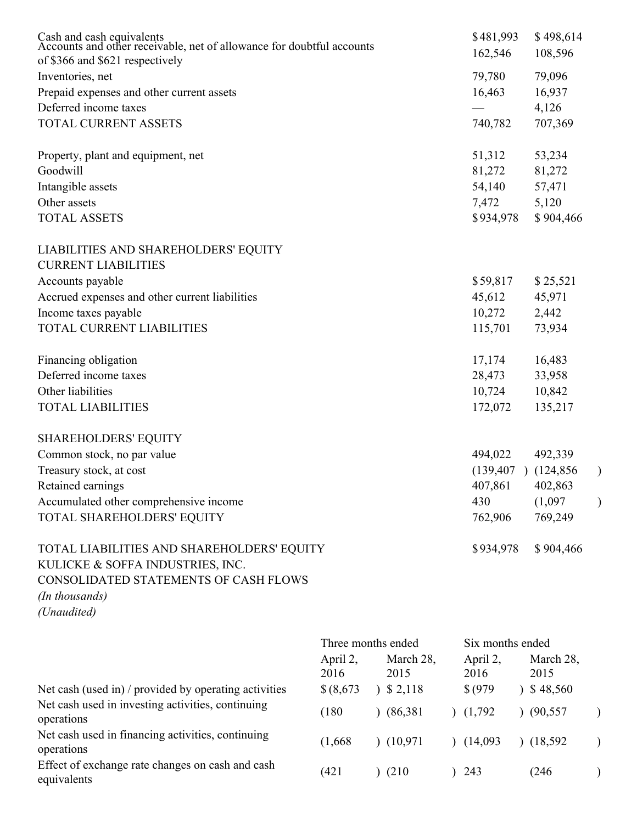| Cash and cash equivalents<br>Accounts and other receivable, net of allowance for doubtful accounts<br>of \$366 and \$621 respectively                    |                                                      |                                | \$481,993<br>162,546                             | \$498,614<br>108,596         |               |
|----------------------------------------------------------------------------------------------------------------------------------------------------------|------------------------------------------------------|--------------------------------|--------------------------------------------------|------------------------------|---------------|
| Inventories, net                                                                                                                                         |                                                      |                                | 79,780                                           | 79,096                       |               |
| Prepaid expenses and other current assets                                                                                                                |                                                      |                                | 16,463                                           | 16,937                       |               |
| Deferred income taxes                                                                                                                                    |                                                      |                                |                                                  | 4,126                        |               |
| TOTAL CURRENT ASSETS                                                                                                                                     |                                                      |                                | 740,782                                          | 707,369                      |               |
| Property, plant and equipment, net                                                                                                                       |                                                      |                                | 51,312                                           | 53,234                       |               |
| Goodwill                                                                                                                                                 |                                                      |                                | 81,272                                           | 81,272                       |               |
| Intangible assets                                                                                                                                        |                                                      |                                | 54,140                                           | 57,471                       |               |
| Other assets                                                                                                                                             |                                                      |                                | 7,472                                            | 5,120                        |               |
| <b>TOTAL ASSETS</b>                                                                                                                                      |                                                      |                                | \$934,978                                        | \$904,466                    |               |
| LIABILITIES AND SHAREHOLDERS' EQUITY                                                                                                                     |                                                      |                                |                                                  |                              |               |
| <b>CURRENT LIABILITIES</b>                                                                                                                               |                                                      |                                |                                                  |                              |               |
| Accounts payable                                                                                                                                         |                                                      |                                | \$59,817                                         | \$25,521                     |               |
| Accrued expenses and other current liabilities                                                                                                           |                                                      |                                | 45,612                                           | 45,971                       |               |
| Income taxes payable                                                                                                                                     |                                                      |                                | 10,272                                           | 2,442                        |               |
| TOTAL CURRENT LIABILITIES                                                                                                                                |                                                      |                                | 115,701                                          | 73,934                       |               |
| Financing obligation                                                                                                                                     |                                                      |                                | 17,174                                           | 16,483                       |               |
| Deferred income taxes                                                                                                                                    |                                                      |                                | 28,473                                           | 33,958                       |               |
| Other liabilities                                                                                                                                        |                                                      |                                | 10,724                                           | 10,842                       |               |
| <b>TOTAL LIABILITIES</b>                                                                                                                                 |                                                      |                                | 172,072                                          | 135,217                      |               |
| <b>SHAREHOLDERS' EQUITY</b>                                                                                                                              |                                                      |                                |                                                  |                              |               |
| Common stock, no par value                                                                                                                               |                                                      |                                | 494,022                                          | 492,339                      |               |
| Treasury stock, at cost                                                                                                                                  |                                                      |                                | (139, 407)                                       | (124, 856)                   | $\mathcal{E}$ |
| Retained earnings                                                                                                                                        |                                                      |                                | 407,861                                          | 402,863                      |               |
| Accumulated other comprehensive income                                                                                                                   |                                                      |                                | 430                                              | (1,097)                      |               |
| TOTAL SHAREHOLDERS' EQUITY                                                                                                                               |                                                      |                                | 762,906                                          | 769,249                      |               |
| TOTAL LIABILITIES AND SHAREHOLDERS' EQUITY<br>KULICKE & SOFFA INDUSTRIES, INC.<br>CONSOLIDATED STATEMENTS OF CASH FLOWS<br>(In thousands)<br>(Unaudited) |                                                      |                                | \$934,978                                        | \$904,466                    |               |
|                                                                                                                                                          |                                                      |                                |                                                  |                              |               |
| Net cash (used in) / provided by operating activities                                                                                                    | Three months ended<br>April 2,<br>2016<br>\$ (8,673) | March 28,<br>2015<br>3, 2, 118 | Six months ended<br>April 2,<br>2016<br>\$ (979) | March 28,<br>2015<br>348,560 |               |
| Net cash used in investing activities, continuing                                                                                                        |                                                      |                                |                                                  |                              |               |
|                                                                                                                                                          | (180)                                                | (86.381)                       | (1.792)                                          | (90.557)                     |               |

operations

Net cash used in financing activities, continuing operations

Effect of exchange rate changes on cash and cash equivalents

| 2016       | 2015      | 2016     | 2015      |  |
|------------|-----------|----------|-----------|--|
| \$ (8,673) | 3, 2, 118 | \$ (979) | 348,560   |  |
| (180       | (86,381)  | (1,792)  | (90, 557) |  |
| (1,668)    | (10, 971) | (14,093) | (18,592)  |  |
| (421       | (210)     | ) 243    | (246)     |  |